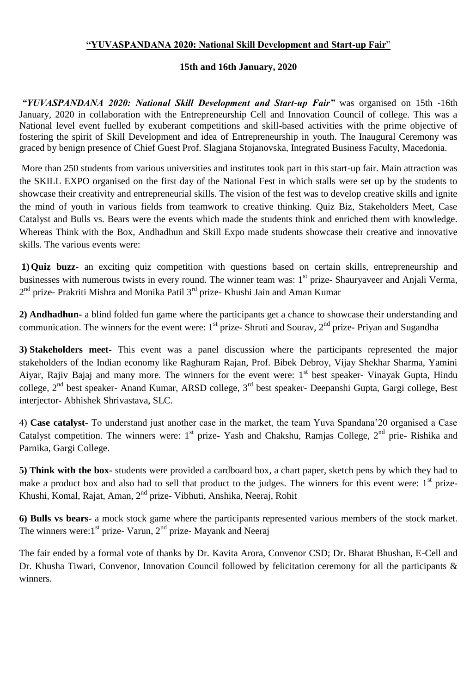## **"YUVASPANDANA 2020: National Skill Development and Start-up Fair**"

## **15th and 16th January, 2020**

*"YUVASPANDANA 2020: National Skill Development and Start-up Fair"* was organised on 15th -16th January, 2020 in collaboration with the Entrepreneurship Cell and Innovation Council of college. This was a National level event fuelled by exuberant competitions and skill-based activities with the prime objective of fostering the spirit of Skill Development and idea of Entrepreneurship in youth. The Inaugural Ceremony was graced by benign presence of Chief Guest Prof. Slagjana Stojanovska, Integrated Business Faculty, Macedonia.

More than 250 students from various universities and institutes took part in this start-up fair. Main attraction was the SKILL EXPO organised on the first day of the National Fest in which stalls were set up by the students to showcase their creativity and entrepreneurial skills. The vision of the fest was to develop creative skills and ignite the mind of youth in various fields from teamwork to creative thinking. Quiz Biz, Stakeholders Meet, Case Catalyst and Bulls vs. Bears were the events which made the students think and enriched them with knowledge. Whereas Think with the Box, Andhadhun and Skill Expo made students showcase their creative and innovative skills. The various events were:

**1)Quiz buzz-** an exciting quiz competition with questions based on certain skills, entrepreneurship and businesses with numerous twists in every round. The winner team was:  $1<sup>st</sup>$  prize- Shauryaveer and Anjali Verma, 2<sup>nd</sup> prize- Prakriti Mishra and Monika Patil 3<sup>rd</sup> prize- Khushi Jain and Aman Kumar

**2) Andhadhun-** a blind folded fun game where the participants get a chance to showcase their understanding and communication. The winners for the event were:  $1<sup>st</sup>$  prize- Shruti and Sourav,  $2<sup>nd</sup>$  prize- Priyan and Sugandha

**3) Stakeholders meet-** This event was a panel discussion where the participants represented the major stakeholders of the Indian economy like Raghuram Rajan, Prof. Bibek Debroy, Vijay Shekhar Sharma, Yamini Aiyar, Rajiv Bajaj and many more. The winners for the event were:  $1<sup>st</sup>$  best speaker- Vinayak Gupta, Hindu college, 2<sup>nd</sup> best speaker- Anand Kumar, ARSD college, 3<sup>rd</sup> best speaker- Deepanshi Gupta, Gargi college, Best interjector- Abhishek Shrivastava, SLC.

4) **Case catalyst**- To understand just another case in the market, the team Yuva Spandana'20 organised a Case Catalyst competition. The winners were:  $1<sup>st</sup>$  prize-Yash and Chakshu, Ramjas College,  $2<sup>nd</sup>$  prie-Rishika and Parnika, Gargi College.

**5) Think with the box-** students were provided a cardboard box, a chart paper, sketch pens by which they had to make a product box and also had to sell that product to the judges. The winners for this event were:  $1<sup>st</sup>$  prize-Khushi, Komal, Rajat, Aman, 2nd prize- Vibhuti, Anshika, Neeraj, Rohit

**6) Bulls vs bears-** a mock stock game where the participants represented various members of the stock market. The winners were: $1<sup>st</sup>$  prize- Varun,  $2<sup>nd</sup>$  prize- Mayank and Neeraj

The fair ended by a formal vote of thanks by Dr. Kavita Arora, Convenor CSD; Dr. Bharat Bhushan, E-Cell and Dr. Khusha Tiwari, Convenor, Innovation Council followed by felicitation ceremony for all the participants & winners.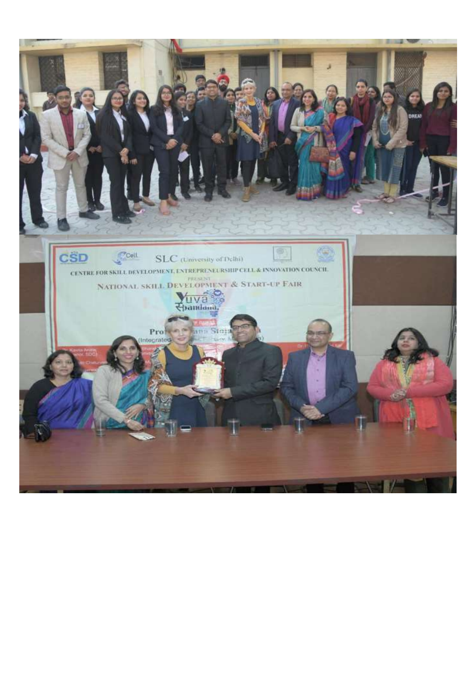